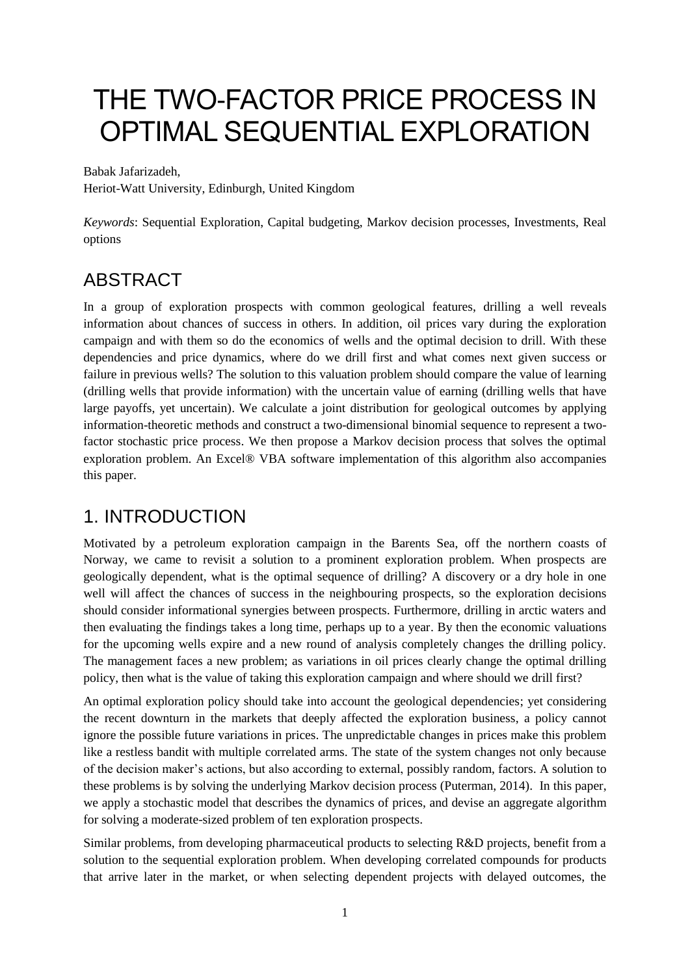# THE TWO-FACTOR PRICE PROCESS IN OPTIMAL SEQUENTIAL EXPLORATION

Babak Jafarizadeh,

Heriot-Watt University, Edinburgh, United Kingdom

*Keywords*: Sequential Exploration, Capital budgeting, Markov decision processes, Investments, Real options

# ABSTRACT

In a group of exploration prospects with common geological features, drilling a well reveals information about chances of success in others. In addition, oil prices vary during the exploration campaign and with them so do the economics of wells and the optimal decision to drill. With these dependencies and price dynamics, where do we drill first and what comes next given success or failure in previous wells? The solution to this valuation problem should compare the value of learning (drilling wells that provide information) with the uncertain value of earning (drilling wells that have large payoffs, yet uncertain). We calculate a joint distribution for geological outcomes by applying information-theoretic methods and construct a two-dimensional binomial sequence to represent a twofactor stochastic price process. We then propose a Markov decision process that solves the optimal exploration problem. An Excel® VBA software implementation of this algorithm also accompanies this paper.

# 1. INTRODUCTION

Motivated by a petroleum exploration campaign in the Barents Sea, off the northern coasts of Norway, we came to revisit a solution to a prominent exploration problem. When prospects are geologically dependent, what is the optimal sequence of drilling? A discovery or a dry hole in one well will affect the chances of success in the neighbouring prospects, so the exploration decisions should consider informational synergies between prospects. Furthermore, drilling in arctic waters and then evaluating the findings takes a long time, perhaps up to a year. By then the economic valuations for the upcoming wells expire and a new round of analysis completely changes the drilling policy. The management faces a new problem; as variations in oil prices clearly change the optimal drilling policy, then what is the value of taking this exploration campaign and where should we drill first?

An optimal exploration policy should take into account the geological dependencies; yet considering the recent downturn in the markets that deeply affected the exploration business, a policy cannot ignore the possible future variations in prices. The unpredictable changes in prices make this problem like a restless bandit with multiple correlated arms. The state of the system changes not only because of the decision maker's actions, but also according to external, possibly random, factors. A solution to these problems is by solving the underlying Markov decision process (Puterman, 2014). In this paper, we apply a stochastic model that describes the dynamics of prices, and devise an aggregate algorithm for solving a moderate-sized problem of ten exploration prospects.

Similar problems, from developing pharmaceutical products to selecting R&D projects, benefit from a solution to the sequential exploration problem. When developing correlated compounds for products that arrive later in the market, or when selecting dependent projects with delayed outcomes, the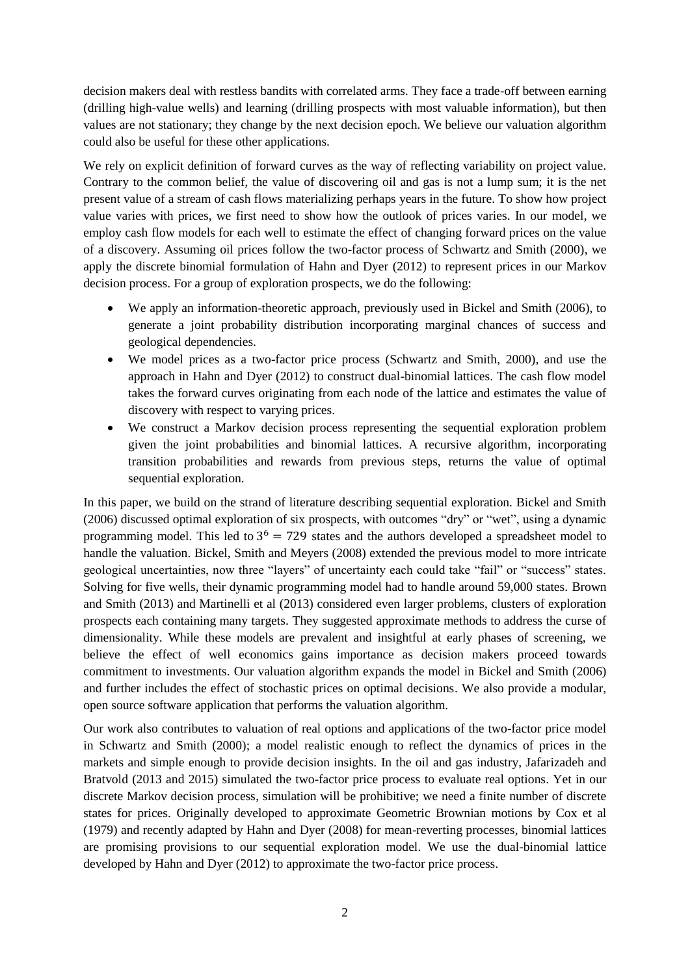decision makers deal with restless bandits with correlated arms. They face a trade-off between earning (drilling high-value wells) and learning (drilling prospects with most valuable information), but then values are not stationary; they change by the next decision epoch. We believe our valuation algorithm could also be useful for these other applications.

We rely on explicit definition of forward curves as the way of reflecting variability on project value. Contrary to the common belief, the value of discovering oil and gas is not a lump sum; it is the net present value of a stream of cash flows materializing perhaps years in the future. To show how project value varies with prices, we first need to show how the outlook of prices varies. In our model, we employ cash flow models for each well to estimate the effect of changing forward prices on the value of a discovery. Assuming oil prices follow the two-factor process of Schwartz and Smith (2000), we apply the discrete binomial formulation of Hahn and Dyer (2012) to represent prices in our Markov decision process. For a group of exploration prospects, we do the following:

- We apply an information-theoretic approach, previously used in Bickel and Smith (2006), to generate a joint probability distribution incorporating marginal chances of success and geological dependencies.
- We model prices as a two-factor price process (Schwartz and Smith, 2000), and use the approach in Hahn and Dyer (2012) to construct dual-binomial lattices. The cash flow model takes the forward curves originating from each node of the lattice and estimates the value of discovery with respect to varying prices.
- We construct a Markov decision process representing the sequential exploration problem given the joint probabilities and binomial lattices. A recursive algorithm, incorporating transition probabilities and rewards from previous steps, returns the value of optimal sequential exploration.

In this paper, we build on the strand of literature describing sequential exploration. Bickel and Smith (2006) discussed optimal exploration of six prospects, with outcomes "dry" or "wet", using a dynamic programming model. This led to  $3<sup>6</sup> = 729$  states and the authors developed a spreadsheet model to handle the valuation. Bickel, Smith and Meyers (2008) extended the previous model to more intricate geological uncertainties, now three "layers" of uncertainty each could take "fail" or "success" states. Solving for five wells, their dynamic programming model had to handle around 59,000 states. Brown and Smith (2013) and Martinelli et al (2013) considered even larger problems, clusters of exploration prospects each containing many targets. They suggested approximate methods to address the curse of dimensionality. While these models are prevalent and insightful at early phases of screening, we believe the effect of well economics gains importance as decision makers proceed towards commitment to investments. Our valuation algorithm expands the model in Bickel and Smith (2006) and further includes the effect of stochastic prices on optimal decisions. We also provide a modular, open source software application that performs the valuation algorithm.

Our work also contributes to valuation of real options and applications of the two-factor price model in Schwartz and Smith (2000); a model realistic enough to reflect the dynamics of prices in the markets and simple enough to provide decision insights. In the oil and gas industry, Jafarizadeh and Bratvold (2013 and 2015) simulated the two-factor price process to evaluate real options. Yet in our discrete Markov decision process, simulation will be prohibitive; we need a finite number of discrete states for prices. Originally developed to approximate Geometric Brownian motions by Cox et al (1979) and recently adapted by Hahn and Dyer (2008) for mean-reverting processes, binomial lattices are promising provisions to our sequential exploration model. We use the dual-binomial lattice developed by Hahn and Dyer (2012) to approximate the two-factor price process.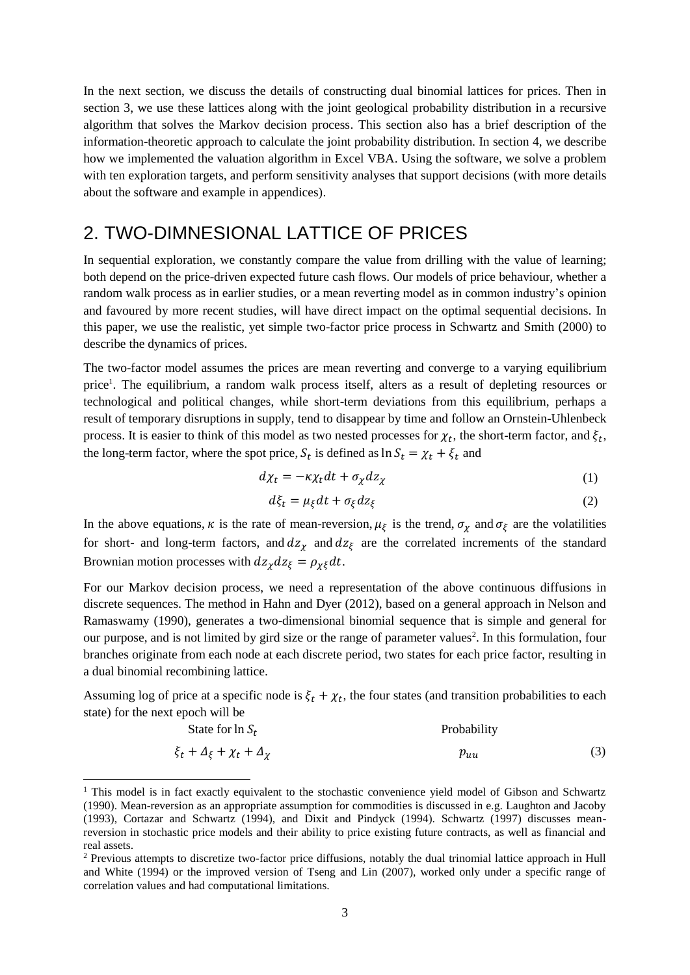In the next section, we discuss the details of constructing dual binomial lattices for prices. Then in section 3, we use these lattices along with the joint geological probability distribution in a recursive algorithm that solves the Markov decision process. This section also has a brief description of the information-theoretic approach to calculate the joint probability distribution. In section 4, we describe how we implemented the valuation algorithm in Excel VBA. Using the software, we solve a problem with ten exploration targets, and perform sensitivity analyses that support decisions (with more details about the software and example in appendices).

### 2. TWO-DIMNESIONAL LATTICE OF PRICES

In sequential exploration, we constantly compare the value from drilling with the value of learning; both depend on the price-driven expected future cash flows. Our models of price behaviour, whether a random walk process as in earlier studies, or a mean reverting model as in common industry's opinion and favoured by more recent studies, will have direct impact on the optimal sequential decisions. In this paper, we use the realistic, yet simple two-factor price process in Schwartz and Smith (2000) to describe the dynamics of prices.

The two-factor model assumes the prices are mean reverting and converge to a varying equilibrium price<sup>1</sup>. The equilibrium, a random walk process itself, alters as a result of depleting resources or technological and political changes, while short-term deviations from this equilibrium, perhaps a result of temporary disruptions in supply, tend to disappear by time and follow an Ornstein-Uhlenbeck process. It is easier to think of this model as two nested processes for  $\chi_t$ , the short-term factor, and  $\xi_t$ , the long-term factor, where the spot price,  $S_t$  is defined as  $\ln S_t = \chi_t + \xi_t$  and

$$
d\chi_t = -\kappa \chi_t dt + \sigma_\chi dz_\chi \tag{1}
$$

$$
d\xi_t = \mu_{\xi} dt + \sigma_{\xi} dz_{\xi}
$$
 (2)

In the above equations,  $\kappa$  is the rate of mean-reversion,  $\mu_{\xi}$  is the trend,  $\sigma_{\chi}$  and  $\sigma_{\xi}$  are the volatilities for short- and long-term factors, and  $dz_{\chi}$  and  $dz_{\xi}$  are the correlated increments of the standard Brownian motion processes with  $dz_{\chi} dz_{\xi} = \rho_{\chi\xi} dt$ .

For our Markov decision process, we need a representation of the above continuous diffusions in discrete sequences. The method in Hahn and Dyer (2012), based on a general approach in Nelson and Ramaswamy (1990), generates a two-dimensional binomial sequence that is simple and general for our purpose, and is not limited by gird size or the range of parameter values<sup>2</sup>. In this formulation, four branches originate from each node at each discrete period, two states for each price factor, resulting in a dual binomial recombining lattice.

Assuming log of price at a specific node is  $\xi_t + \chi_t$ , the four states (and transition probabilities to each state) for the next epoch will be

State for 
$$
\ln S_t
$$
  
\n $\xi_t + \Delta_{\xi} + \chi_t + \Delta_{\chi}$  Problem 23)

-

<sup>&</sup>lt;sup>1</sup> This model is in fact exactly equivalent to the stochastic convenience yield model of Gibson and Schwartz (1990). Mean-reversion as an appropriate assumption for commodities is discussed in e.g. Laughton and Jacoby (1993), Cortazar and Schwartz (1994), and Dixit and Pindyck (1994). Schwartz (1997) discusses meanreversion in stochastic price models and their ability to price existing future contracts, as well as financial and real assets.

<sup>2</sup> Previous attempts to discretize two-factor price diffusions, notably the dual trinomial lattice approach in Hull and White (1994) or the improved version of Tseng and Lin (2007), worked only under a specific range of correlation values and had computational limitations.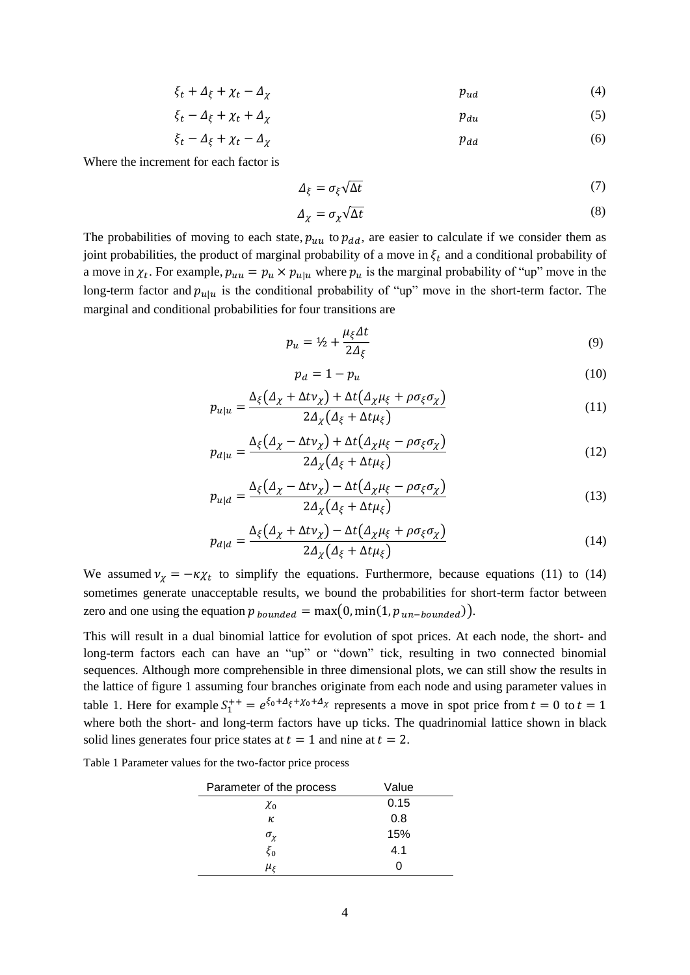$$
\xi_t + \Delta_{\xi} + \chi_t - \Delta_{\chi} \tag{4}
$$

$$
\xi_t - \Delta_{\xi} + \chi_t + \Delta_{\chi} \tag{5}
$$

$$
\xi_t - \Delta_\xi + \chi_t - \Delta_\chi \tag{6}
$$

Where the increment for each factor is

$$
\Delta_{\xi} = \sigma_{\xi} \sqrt{\Delta t} \tag{7}
$$

$$
\Delta_{\chi} = \sigma_{\chi} \sqrt{\Delta t} \tag{8}
$$

The probabilities of moving to each state,  $p_{uu}$  to  $p_{dd}$ , are easier to calculate if we consider them as joint probabilities, the product of marginal probability of a move in  $\xi_t$  and a conditional probability of a move in  $\chi_t$ . For example,  $p_{uu} = p_u \times p_{u|u}$  where  $p_u$  is the marginal probability of "up" move in the long-term factor and  $p_{u|u}$  is the conditional probability of "up" move in the short-term factor. The marginal and conditional probabilities for four transitions are

$$
p_u = \frac{1}{2} + \frac{\mu_{\xi} \Delta t}{2\Delta_{\xi}} \tag{9}
$$

$$
p_d = 1 - p_u \tag{10}
$$

$$
p_{u|u} = \frac{\Delta_{\xi}(\Delta_{\chi} + \Delta t \nu_{\chi}) + \Delta t (\Delta_{\chi} \mu_{\xi} + \rho \sigma_{\xi} \sigma_{\chi})}{2\Delta_{\chi}(\Delta_{\xi} + \Delta t \mu_{\xi})}
$$
(11)

$$
p_{d|u} = \frac{\Delta_{\xi}(\Delta_{\chi} - \Delta t \nu_{\chi}) + \Delta t (\Delta_{\chi} \mu_{\xi} - \rho \sigma_{\xi} \sigma_{\chi})}{2\Delta_{\chi}(\Delta_{\xi} + \Delta t \mu_{\xi})}
$$
(12)

$$
p_{u|d} = \frac{\Delta_{\xi}(\Delta_{\chi} - \Delta t \nu_{\chi}) - \Delta t (\Delta_{\chi} \mu_{\xi} - \rho \sigma_{\xi} \sigma_{\chi})}{2\Delta_{\chi}(\Delta_{\xi} + \Delta t \mu_{\xi})}
$$
(13)

$$
p_{d|d} = \frac{\Delta_{\xi} \left( \Delta_{\chi} + \Delta t \nu_{\chi} \right) - \Delta t \left( \Delta_{\chi} \mu_{\xi} + \rho \sigma_{\xi} \sigma_{\chi} \right)}{2 \Delta_{\chi} \left( \Delta_{\xi} + \Delta t \mu_{\xi} \right)} \tag{14}
$$

We assumed  $v_{\chi} = -\kappa \chi_t$  to simplify the equations. Furthermore, because equations (11) to (14) sometimes generate unacceptable results, we bound the probabilities for short-term factor between zero and one using the equation  $p_{bounded} = \max(0, \min(1, p_{un-bounded}))$ .

This will result in a dual binomial lattice for evolution of spot prices. At each node, the short- and long-term factors each can have an "up" or "down" tick, resulting in two connected binomial sequences. Although more comprehensible in three dimensional plots, we can still show the results in the lattice of figure 1 assuming four branches originate from each node and using parameter values in table 1. Here for example  $S_1^{++} = e^{\xi_0 + \Delta_{\xi} + \chi_0 + \Delta_{\chi}}$  represents a move in spot price from  $t = 0$  to  $t = 1$ where both the short- and long-term factors have up ticks. The quadrinomial lattice shown in black solid lines generates four price states at  $t = 1$  and nine at  $t = 2$ .

Table 1 Parameter values for the two-factor price process

| Parameter of the process | Value |
|--------------------------|-------|
| $\chi_0$                 | 0.15  |
| κ                        | 0.8   |
| $\sigma_{\chi}$          | 15%   |
| $\xi_0$                  | 4.1   |
| $\mu_{\xi}$              |       |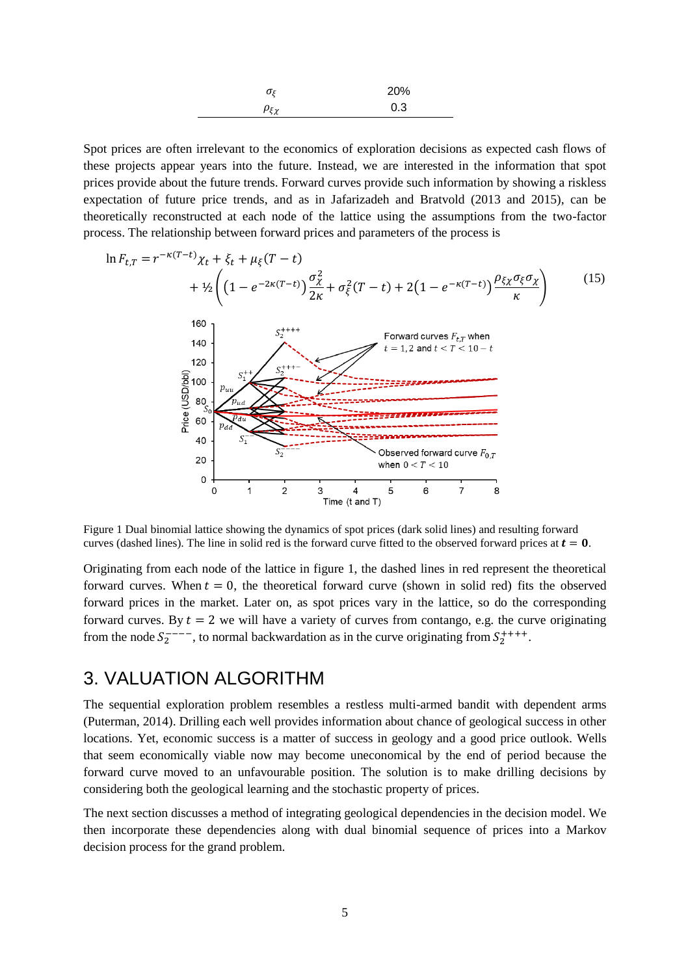| $\sigma_{\zeta}$ | 20% |
|------------------|-----|
| $\rho_{\xi\chi}$ | 0.3 |

Spot prices are often irrelevant to the economics of exploration decisions as expected cash flows of these projects appear years into the future. Instead, we are interested in the information that spot prices provide about the future trends. Forward curves provide such information by showing a riskless expectation of future price trends, and as in Jafarizadeh and Bratvold (2013 and 2015), can be theoretically reconstructed at each node of the lattice using the assumptions from the two-factor process. The relationship between forward prices and parameters of the process is



Figure 1 Dual binomial lattice showing the dynamics of spot prices (dark solid lines) and resulting forward curves (dashed lines). The line in solid red is the forward curve fitted to the observed forward prices at  $t = 0$ .

Originating from each node of the lattice in figure 1, the dashed lines in red represent the theoretical forward curves. When  $t = 0$ , the theoretical forward curve (shown in solid red) fits the observed forward prices in the market. Later on, as spot prices vary in the lattice, so do the corresponding forward curves. By  $t = 2$  we will have a variety of curves from contango, e.g. the curve originating from the node  $S_2^{---}$ , to normal backwardation as in the curve originating from  $S_2^{+++}$ .

### 3. VALUATION ALGORITHM

The sequential exploration problem resembles a restless multi-armed bandit with dependent arms (Puterman, 2014). Drilling each well provides information about chance of geological success in other locations. Yet, economic success is a matter of success in geology and a good price outlook. Wells that seem economically viable now may become uneconomical by the end of period because the forward curve moved to an unfavourable position. The solution is to make drilling decisions by considering both the geological learning and the stochastic property of prices.

The next section discusses a method of integrating geological dependencies in the decision model. We then incorporate these dependencies along with dual binomial sequence of prices into a Markov decision process for the grand problem.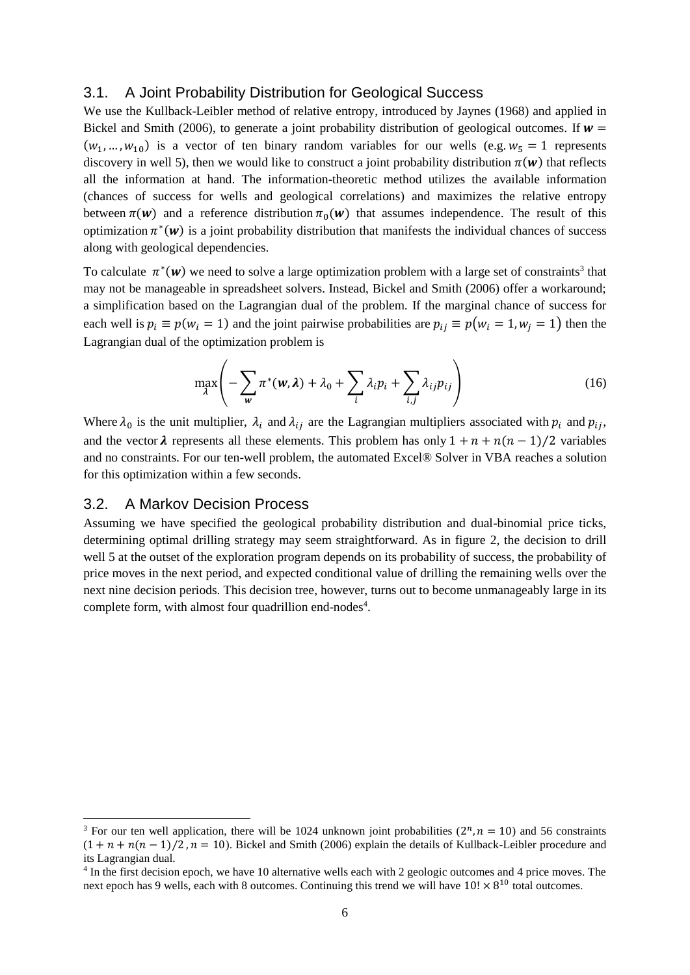#### 3.1. A Joint Probability Distribution for Geological Success

We use the Kullback-Leibler method of relative entropy, introduced by Jaynes (1968) and applied in Bickel and Smith (2006), to generate a joint probability distribution of geological outcomes. If  $w =$  $(w_1, ..., w_{10})$  is a vector of ten binary random variables for our wells (e.g.  $w_5 = 1$  represents discovery in well 5), then we would like to construct a joint probability distribution  $\pi(w)$  that reflects all the information at hand. The information-theoretic method utilizes the available information (chances of success for wells and geological correlations) and maximizes the relative entropy between  $\pi(w)$  and a reference distribution  $\pi_0(w)$  that assumes independence. The result of this optimization  $\pi^*(w)$  is a joint probability distribution that manifests the individual chances of success along with geological dependencies.

To calculate  $\pi^*(w)$  we need to solve a large optimization problem with a large set of constraints<sup>3</sup> that may not be manageable in spreadsheet solvers. Instead, Bickel and Smith (2006) offer a workaround; a simplification based on the Lagrangian dual of the problem. If the marginal chance of success for each well is  $p_i \equiv p(w_i = 1)$  and the joint pairwise probabilities are  $p_{ij} \equiv p(w_i = 1, w_i = 1)$  then the Lagrangian dual of the optimization problem is

$$
\max_{\lambda} \left( -\sum_{\mathbf{w}} \pi^*(\mathbf{w}, \lambda) + \lambda_0 + \sum_{i} \lambda_i p_i + \sum_{i,j} \lambda_{ij} p_{ij} \right) \tag{16}
$$

Where  $\lambda_0$  is the unit multiplier,  $\lambda_i$  and  $\lambda_{ij}$  are the Lagrangian multipliers associated with  $p_i$  and  $p_{ij}$ , and the vector  $\lambda$  represents all these elements. This problem has only  $1 + n + n(n - 1)/2$  variables and no constraints. For our ten-well problem, the automated Excel® Solver in VBA reaches a solution for this optimization within a few seconds.

#### 3.2. A Markov Decision Process

1

Assuming we have specified the geological probability distribution and dual-binomial price ticks, determining optimal drilling strategy may seem straightforward. As in figure 2, the decision to drill well 5 at the outset of the exploration program depends on its probability of success, the probability of price moves in the next period, and expected conditional value of drilling the remaining wells over the next nine decision periods. This decision tree, however, turns out to become unmanageably large in its complete form, with almost four quadrillion end-nodes<sup>4</sup>.

<sup>&</sup>lt;sup>3</sup> For our ten well application, there will be 1024 unknown joint probabilities  $(2^n, n = 10)$  and 56 constraints  $(1 + n + n(n - 1)/2, n = 10)$ . Bickel and Smith (2006) explain the details of Kullback-Leibler procedure and its Lagrangian dual.

<sup>&</sup>lt;sup>4</sup> In the first decision epoch, we have 10 alternative wells each with 2 geologic outcomes and 4 price moves. The next epoch has 9 wells, each with 8 outcomes. Continuing this trend we will have  $10! \times 8^{10}$  total outcomes.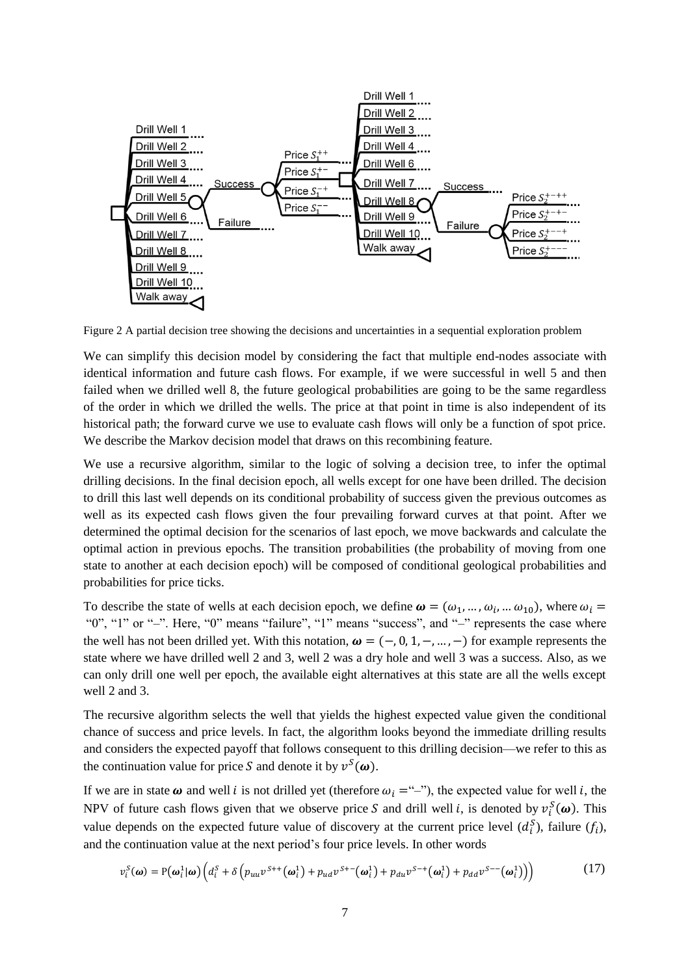

Figure 2 A partial decision tree showing the decisions and uncertainties in a sequential exploration problem

We can simplify this decision model by considering the fact that multiple end-nodes associate with identical information and future cash flows. For example, if we were successful in well 5 and then failed when we drilled well 8, the future geological probabilities are going to be the same regardless of the order in which we drilled the wells. The price at that point in time is also independent of its historical path; the forward curve we use to evaluate cash flows will only be a function of spot price. We describe the Markov decision model that draws on this recombining feature.

We use a recursive algorithm, similar to the logic of solving a decision tree, to infer the optimal drilling decisions. In the final decision epoch, all wells except for one have been drilled. The decision to drill this last well depends on its conditional probability of success given the previous outcomes as well as its expected cash flows given the four prevailing forward curves at that point. After we determined the optimal decision for the scenarios of last epoch, we move backwards and calculate the optimal action in previous epochs. The transition probabilities (the probability of moving from one state to another at each decision epoch) will be composed of conditional geological probabilities and probabilities for price ticks.

To describe the state of wells at each decision epoch, we define  $\omega = (\omega_1, ..., \omega_i, ..., \omega_{10})$ , where  $\omega_i =$ "0", "1" or "–". Here, "0" means "failure", "1" means "success", and "–" represents the case where the well has not been drilled yet. With this notation,  $\boldsymbol{\omega} = (-, 0, 1, -, ... , -)$  for example represents the state where we have drilled well 2 and 3, well 2 was a dry hole and well 3 was a success. Also, as we can only drill one well per epoch, the available eight alternatives at this state are all the wells except well 2 and 3.

The recursive algorithm selects the well that yields the highest expected value given the conditional chance of success and price levels. In fact, the algorithm looks beyond the immediate drilling results and considers the expected payoff that follows consequent to this drilling decision—we refer to this as the continuation value for price S and denote it by  $v^S(\omega)$ .

If we are in state  $\omega$  and well *i* is not drilled yet (therefore  $\omega_i = \omega$ ), the expected value for well *i*, the NPV of future cash flows given that we observe price S and drill well *i*, is denoted by  $v_i^S(\omega)$ . This value depends on the expected future value of discovery at the current price level  $(d_i^S)$ , failure  $(f_i)$ , and the continuation value at the next period's four price levels. In other words

$$
v_i^S(\boldsymbol{\omega}) = P(\boldsymbol{\omega}_i^1 | \boldsymbol{\omega}) \Big( d_i^S + \delta \Big( p_{uu} v^{S++} (\boldsymbol{\omega}_i^1) + p_{ud} v^{S+-} (\boldsymbol{\omega}_i^1) + p_{du} v^{S-+} (\boldsymbol{\omega}_i^1) + p_{dd} v^{S--} (\boldsymbol{\omega}_i^1) \Big) \Big)
$$
(17)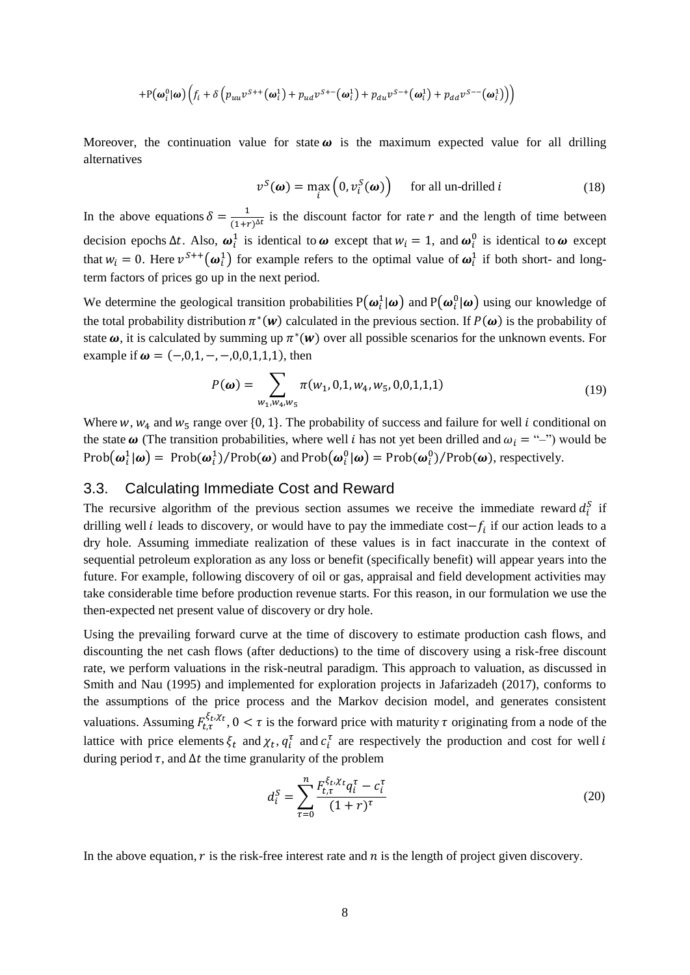$$
+P(\boldsymbol{\omega}_i^0|\boldsymbol{\omega})\Big(f_i+\delta\Big(p_{uu}v^{S++}(\boldsymbol{\omega}_i^1)+p_{ud}v^{S+-}(\boldsymbol{\omega}_i^1)+p_{du}v^{S-+}(\boldsymbol{\omega}_i^1)+p_{dd}v^{S--}(\boldsymbol{\omega}_i^1)\Big)\Big)
$$

Moreover, the continuation value for state  $\omega$  is the maximum expected value for all drilling alternatives

$$
v^{S}(\boldsymbol{\omega}) = \max_{i} \left( 0, v^{S}_{i}(\boldsymbol{\omega}) \right) \quad \text{ for all un-drilled } i \tag{18}
$$

In the above equations  $\delta = \frac{1}{(1+i)}$  $\frac{1}{(1+r)^{\Delta t}}$  is the discount factor for rate r and the length of time between decision epochs  $\Delta t$ . Also,  $\omega_i^1$  is identical to  $\omega$  except that  $w_i = 1$ , and  $\omega_i^0$  is identical to  $\omega$  except that  $w_i = 0$ . Here  $v^{S++}(\omega_i^1)$  for example refers to the optimal value of  $\omega_i^1$  if both short- and longterm factors of prices go up in the next period.

We determine the geological transition probabilities  $P(\omega_i^1|\omega)$  and  $P(\omega_i^0|\omega)$  using our knowledge of the total probability distribution  $\pi^*(w)$  calculated in the previous section. If  $P(\omega)$  is the probability of state  $\omega$ , it is calculated by summing up  $\pi^*(w)$  over all possible scenarios for the unknown events. For example if  $\omega = (-,0,1,-,-,0,0,1,1,1)$ , then

$$
P(\boldsymbol{\omega}) = \sum_{w_1, w_4, w_5} \pi(w_1, 0, 1, w_4, w_5, 0, 0, 1, 1, 1)
$$
\n(19)

Where  $w$ ,  $w_4$  and  $w_5$  range over {0, 1}. The probability of success and failure for well *i* conditional on the state  $\omega$  (The transition probabilities, where well *i* has not yet been drilled and  $\omega_i = \omega$ ) would be Prob $(\omega_i^1 | \omega)$  = Prob $(\omega_i^1)$ /Prob $(\omega)$  and Prob $(\omega_i^0 | \omega)$  = Prob $(\omega_i^0)$ /Prob $(\omega)$ , respectively.

#### 3.3. Calculating Immediate Cost and Reward

The recursive algorithm of the previous section assumes we receive the immediate reward  $d_i^S$  if drilling well *i* leads to discovery, or would have to pay the immediate cost $-f_i$  if our action leads to a dry hole. Assuming immediate realization of these values is in fact inaccurate in the context of sequential petroleum exploration as any loss or benefit (specifically benefit) will appear years into the future. For example, following discovery of oil or gas, appraisal and field development activities may take considerable time before production revenue starts. For this reason, in our formulation we use the then-expected net present value of discovery or dry hole.

Using the prevailing forward curve at the time of discovery to estimate production cash flows, and discounting the net cash flows (after deductions) to the time of discovery using a risk-free discount rate, we perform valuations in the risk-neutral paradigm. This approach to valuation, as discussed in Smith and Nau (1995) and implemented for exploration projects in Jafarizadeh (2017), conforms to the assumptions of the price process and the Markov decision model, and generates consistent valuations. Assuming  $F_{t,\tau}^{\xi_t, \chi_t}$ ,  $0 < \tau$  is the forward price with maturity  $\tau$  originating from a node of the lattice with price elements  $\xi_t$  and  $\chi_t$ ,  $q_i^{\tau}$  and  $c_i^{\tau}$  are respectively the production and cost for well i during period  $\tau$ , and  $\Delta t$  the time granularity of the problem

$$
d_i^S = \sum_{\tau=0}^n \frac{F_{t,\tau}^{\xi_t, \chi_t} q_i^{\tau} - c_i^{\tau}}{(1+r)^{\tau}}
$$
(20)

In the above equation,  $r$  is the risk-free interest rate and  $n$  is the length of project given discovery.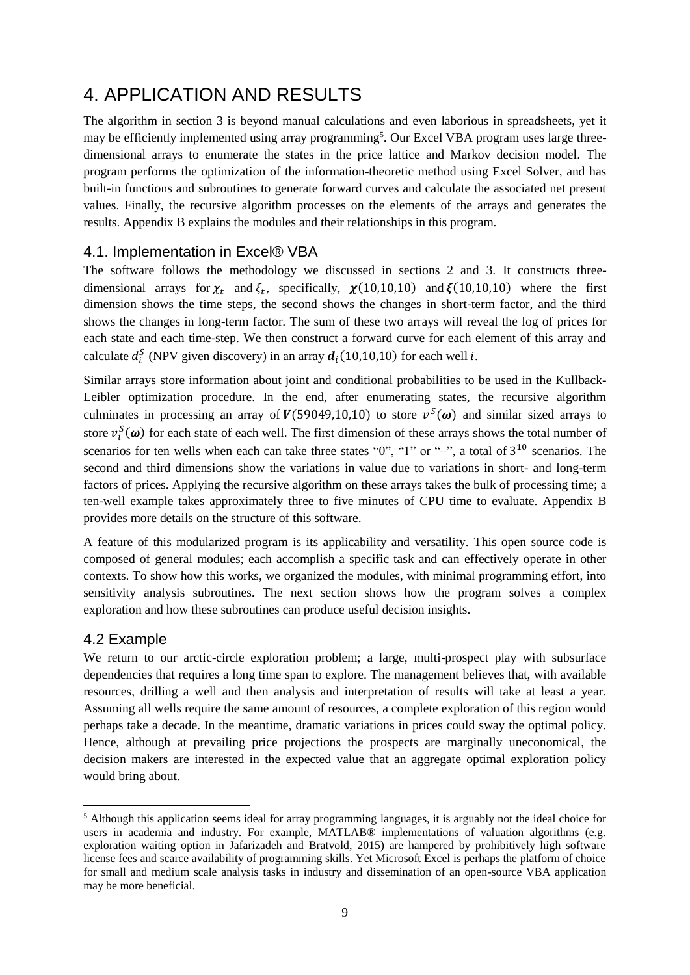# 4. APPLICATION AND RESULTS

The algorithm in section 3 is beyond manual calculations and even laborious in spreadsheets, yet it may be efficiently implemented using array programming<sup>5</sup>. Our Excel VBA program uses large threedimensional arrays to enumerate the states in the price lattice and Markov decision model. The program performs the optimization of the information-theoretic method using Excel Solver, and has built-in functions and subroutines to generate forward curves and calculate the associated net present values. Finally, the recursive algorithm processes on the elements of the arrays and generates the results. Appendix B explains the modules and their relationships in this program.

### 4.1. Implementation in Excel® VBA

The software follows the methodology we discussed in sections 2 and 3. It constructs threedimensional arrays for  $\chi_t$  and  $\xi_t$ , specifically,  $\chi(10,10,10)$  and  $\xi(10,10,10)$  where the first dimension shows the time steps, the second shows the changes in short-term factor, and the third shows the changes in long-term factor. The sum of these two arrays will reveal the log of prices for each state and each time-step. We then construct a forward curve for each element of this array and calculate  $d_i^S$  (NPV given discovery) in an array  $d_i(10,10,10)$  for each well *i*.

Similar arrays store information about joint and conditional probabilities to be used in the Kullback-Leibler optimization procedure. In the end, after enumerating states, the recursive algorithm culminates in processing an array of  $V(59049,10,10)$  to store  $v<sup>S</sup>(\omega)$  and similar sized arrays to store  $v_i^S(\omega)$  for each state of each well. The first dimension of these arrays shows the total number of scenarios for ten wells when each can take three states " $0$ ", "1" or "-", a total of  $3^{10}$  scenarios. The second and third dimensions show the variations in value due to variations in short- and long-term factors of prices. Applying the recursive algorithm on these arrays takes the bulk of processing time; a ten-well example takes approximately three to five minutes of CPU time to evaluate. Appendix B provides more details on the structure of this software.

A feature of this modularized program is its applicability and versatility. This open source code is composed of general modules; each accomplish a specific task and can effectively operate in other contexts. To show how this works, we organized the modules, with minimal programming effort, into sensitivity analysis subroutines. The next section shows how the program solves a complex exploration and how these subroutines can produce useful decision insights.

#### 4.2 Example

-

We return to our arctic-circle exploration problem; a large, multi-prospect play with subsurface dependencies that requires a long time span to explore. The management believes that, with available resources, drilling a well and then analysis and interpretation of results will take at least a year. Assuming all wells require the same amount of resources, a complete exploration of this region would perhaps take a decade. In the meantime, dramatic variations in prices could sway the optimal policy. Hence, although at prevailing price projections the prospects are marginally uneconomical, the decision makers are interested in the expected value that an aggregate optimal exploration policy would bring about.

<sup>5</sup> Although this application seems ideal for array programming languages, it is arguably not the ideal choice for users in academia and industry. For example, MATLAB® implementations of valuation algorithms (e.g. exploration waiting option in Jafarizadeh and Bratvold, 2015) are hampered by prohibitively high software license fees and scarce availability of programming skills. Yet Microsoft Excel is perhaps the platform of choice for small and medium scale analysis tasks in industry and dissemination of an open-source VBA application may be more beneficial.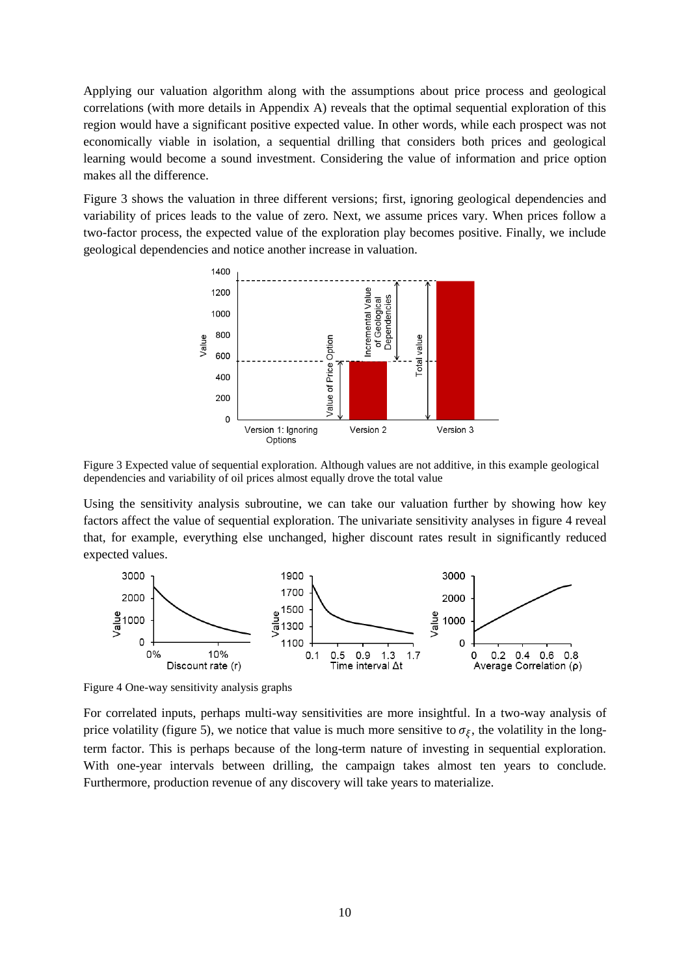Applying our valuation algorithm along with the assumptions about price process and geological correlations (with more details in Appendix A) reveals that the optimal sequential exploration of this region would have a significant positive expected value. In other words, while each prospect was not economically viable in isolation, a sequential drilling that considers both prices and geological learning would become a sound investment. Considering the value of information and price option makes all the difference.

Figure 3 shows the valuation in three different versions; first, ignoring geological dependencies and variability of prices leads to the value of zero. Next, we assume prices vary. When prices follow a two-factor process, the expected value of the exploration play becomes positive. Finally, we include geological dependencies and notice another increase in valuation.



Figure 3 Expected value of sequential exploration. Although values are not additive, in this example geological dependencies and variability of oil prices almost equally drove the total value

Using the sensitivity analysis subroutine, we can take our valuation further by showing how key factors affect the value of sequential exploration. The univariate sensitivity analyses in figure 4 reveal that, for example, everything else unchanged, higher discount rates result in significantly reduced expected values.



Figure 4 One-way sensitivity analysis graphs

For correlated inputs, perhaps multi-way sensitivities are more insightful. In a two-way analysis of price volatility (figure 5), we notice that value is much more sensitive to  $\sigma_{\xi}$ , the volatility in the longterm factor. This is perhaps because of the long-term nature of investing in sequential exploration. With one-year intervals between drilling, the campaign takes almost ten years to conclude. Furthermore, production revenue of any discovery will take years to materialize.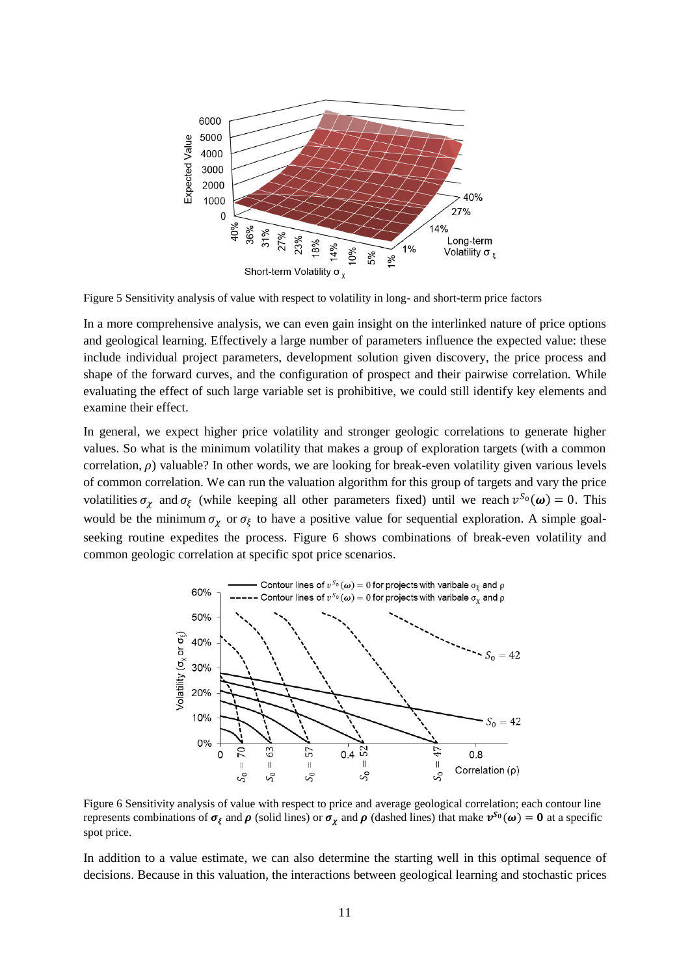

Figure 5 Sensitivity analysis of value with respect to volatility in long- and short-term price factors

In a more comprehensive analysis, we can even gain insight on the interlinked nature of price options and geological learning. Effectively a large number of parameters influence the expected value: these include individual project parameters, development solution given discovery, the price process and shape of the forward curves, and the configuration of prospect and their pairwise correlation. While evaluating the effect of such large variable set is prohibitive, we could still identify key elements and examine their effect.

In general, we expect higher price volatility and stronger geologic correlations to generate higher values. So what is the minimum volatility that makes a group of exploration targets (with a common correlation,  $\rho$ ) valuable? In other words, we are looking for break-even volatility given various levels of common correlation. We can run the valuation algorithm for this group of targets and vary the price volatilities  $\sigma_{\chi}$  and  $\sigma_{\xi}$  (while keeping all other parameters fixed) until we reach  $v^{S_0}(\omega) = 0$ . This would be the minimum  $\sigma_{\chi}$  or  $\sigma_{\xi}$  to have a positive value for sequential exploration. A simple goalseeking routine expedites the process. Figure 6 shows combinations of break-even volatility and common geologic correlation at specific spot price scenarios.



Figure 6 Sensitivity analysis of value with respect to price and average geological correlation; each contour line represents combinations of  $\sigma_{\xi}$  and  $\rho$  (solid lines) or  $\sigma_{\chi}$  and  $\rho$  (dashed lines) that make  $v^{S_0}(\omega) = 0$  at a specific spot price.

In addition to a value estimate, we can also determine the starting well in this optimal sequence of decisions. Because in this valuation, the interactions between geological learning and stochastic prices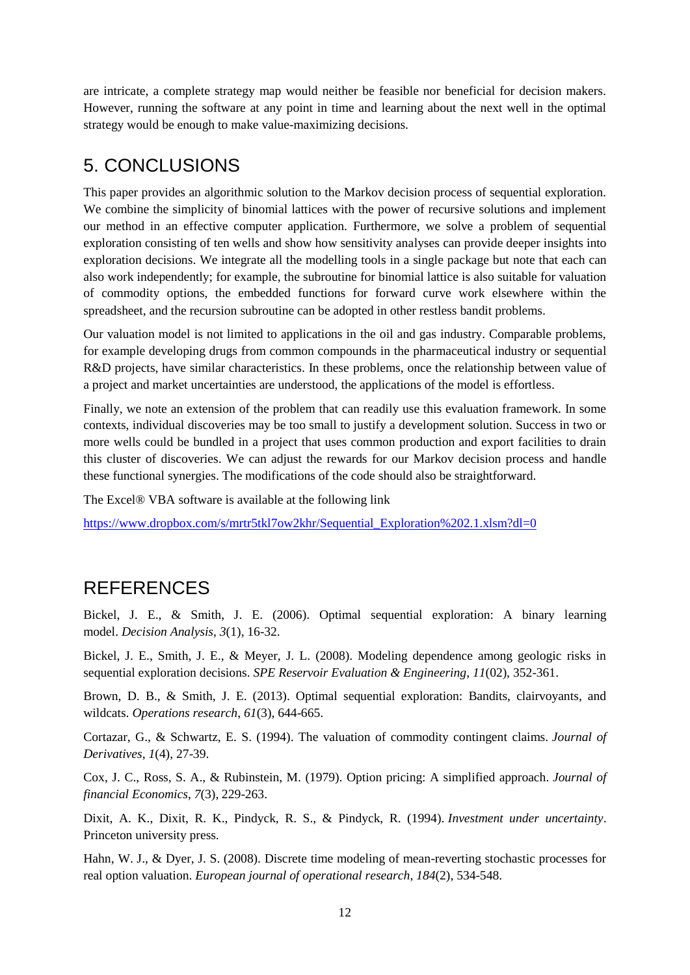are intricate, a complete strategy map would neither be feasible nor beneficial for decision makers. However, running the software at any point in time and learning about the next well in the optimal strategy would be enough to make value-maximizing decisions.

## 5. CONCLUSIONS

This paper provides an algorithmic solution to the Markov decision process of sequential exploration. We combine the simplicity of binomial lattices with the power of recursive solutions and implement our method in an effective computer application. Furthermore, we solve a problem of sequential exploration consisting of ten wells and show how sensitivity analyses can provide deeper insights into exploration decisions. We integrate all the modelling tools in a single package but note that each can also work independently; for example, the subroutine for binomial lattice is also suitable for valuation of commodity options, the embedded functions for forward curve work elsewhere within the spreadsheet, and the recursion subroutine can be adopted in other restless bandit problems.

Our valuation model is not limited to applications in the oil and gas industry. Comparable problems, for example developing drugs from common compounds in the pharmaceutical industry or sequential R&D projects, have similar characteristics. In these problems, once the relationship between value of a project and market uncertainties are understood, the applications of the model is effortless.

Finally, we note an extension of the problem that can readily use this evaluation framework. In some contexts, individual discoveries may be too small to justify a development solution. Success in two or more wells could be bundled in a project that uses common production and export facilities to drain this cluster of discoveries. We can adjust the rewards for our Markov decision process and handle these functional synergies. The modifications of the code should also be straightforward.

The Excel® VBA software is available at the following link

[https://www.dropbox.com/s/mrtr5tkl7ow2khr/Sequential\\_Exploration%202.1.xlsm?dl=0](https://www.dropbox.com/s/mrtr5tkl7ow2khr/Sequential_Exploration%202.1.xlsm?dl=0)

# REFERENCES

Bickel, J. E., & Smith, J. E. (2006). Optimal sequential exploration: A binary learning model. *Decision Analysis*, *3*(1), 16-32.

Bickel, J. E., Smith, J. E., & Meyer, J. L. (2008). Modeling dependence among geologic risks in sequential exploration decisions. *SPE Reservoir Evaluation & Engineering*, *11*(02), 352-361.

Brown, D. B., & Smith, J. E. (2013). Optimal sequential exploration: Bandits, clairvoyants, and wildcats. *Operations research*, *61*(3), 644-665.

Cortazar, G., & Schwartz, E. S. (1994). The valuation of commodity contingent claims. *Journal of Derivatives*, *1*(4), 27-39.

Cox, J. C., Ross, S. A., & Rubinstein, M. (1979). Option pricing: A simplified approach. *Journal of financial Economics*, *7*(3), 229-263.

Dixit, A. K., Dixit, R. K., Pindyck, R. S., & Pindyck, R. (1994). *Investment under uncertainty*. Princeton university press.

Hahn, W. J., & Dyer, J. S. (2008). Discrete time modeling of mean-reverting stochastic processes for real option valuation. *European journal of operational research*, *184*(2), 534-548.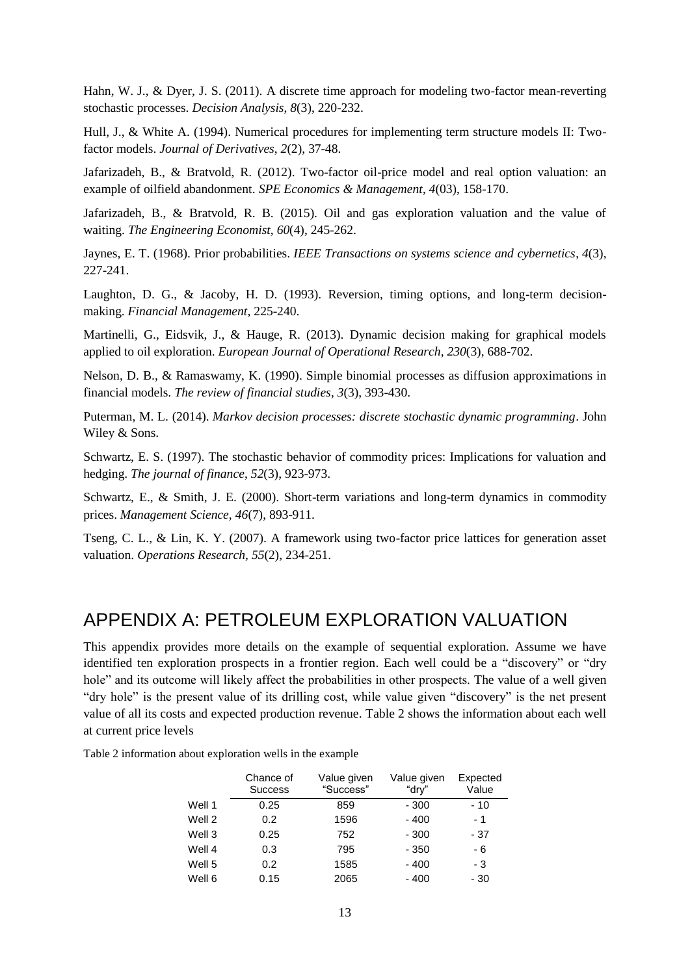Hahn, W. J., & Dyer, J. S. (2011). A discrete time approach for modeling two-factor mean-reverting stochastic processes. *Decision Analysis*, *8*(3), 220-232.

Hull, J., & White A. (1994). Numerical procedures for implementing term structure models II: Twofactor models. *Journal of Derivatives*, *2*(2), 37-48.

Jafarizadeh, B., & Bratvold, R. (2012). Two-factor oil-price model and real option valuation: an example of oilfield abandonment. *SPE Economics & Management*, *4*(03), 158-170.

Jafarizadeh, B., & Bratvold, R. B. (2015). Oil and gas exploration valuation and the value of waiting. *The Engineering Economist*, *60*(4), 245-262.

Jaynes, E. T. (1968). Prior probabilities. *IEEE Transactions on systems science and cybernetics*, *4*(3), 227-241.

Laughton, D. G., & Jacoby, H. D. (1993). Reversion, timing options, and long-term decisionmaking. *Financial Management*, 225-240.

Martinelli, G., Eidsvik, J., & Hauge, R. (2013). Dynamic decision making for graphical models applied to oil exploration. *European Journal of Operational Research*, *230*(3), 688-702.

Nelson, D. B., & Ramaswamy, K. (1990). Simple binomial processes as diffusion approximations in financial models. *The review of financial studies*, *3*(3), 393-430.

Puterman, M. L. (2014). *Markov decision processes: discrete stochastic dynamic programming*. John Wiley & Sons.

Schwartz, E. S. (1997). The stochastic behavior of commodity prices: Implications for valuation and hedging. *The journal of finance*, *52*(3), 923-973.

Schwartz, E., & Smith, J. E. (2000). Short-term variations and long-term dynamics in commodity prices. *Management Science*, *46*(7), 893-911.

Tseng, C. L., & Lin, K. Y. (2007). A framework using two-factor price lattices for generation asset valuation. *Operations Research*, *55*(2), 234-251.

### APPENDIX A: PETROLEUM EXPLORATION VALUATION

This appendix provides more details on the example of sequential exploration. Assume we have identified ten exploration prospects in a frontier region. Each well could be a "discovery" or "dry hole" and its outcome will likely affect the probabilities in other prospects. The value of a well given "dry hole" is the present value of its drilling cost, while value given "discovery" is the net present value of all its costs and expected production revenue. Table 2 shows the information about each well at current price levels

|        | Chance of<br><b>Success</b> | Value given<br>"Success" | Value given<br>"drv" | Expected<br>Value |
|--------|-----------------------------|--------------------------|----------------------|-------------------|
| Well 1 | 0.25                        | 859                      | $-300$               | - 10              |
| Well 2 | 0.2                         | 1596                     | $-400$               | - 1               |
| Well 3 | 0.25                        | 752                      | $-300$               | - 37              |
| Well 4 | 0.3                         | 795                      | - 350                | - 6               |
| Well 5 | 0.2                         | 1585                     | $-400$               | - 3               |
| Well 6 | 0.15                        | 2065                     | - 400                | - 30              |

Table 2 information about exploration wells in the example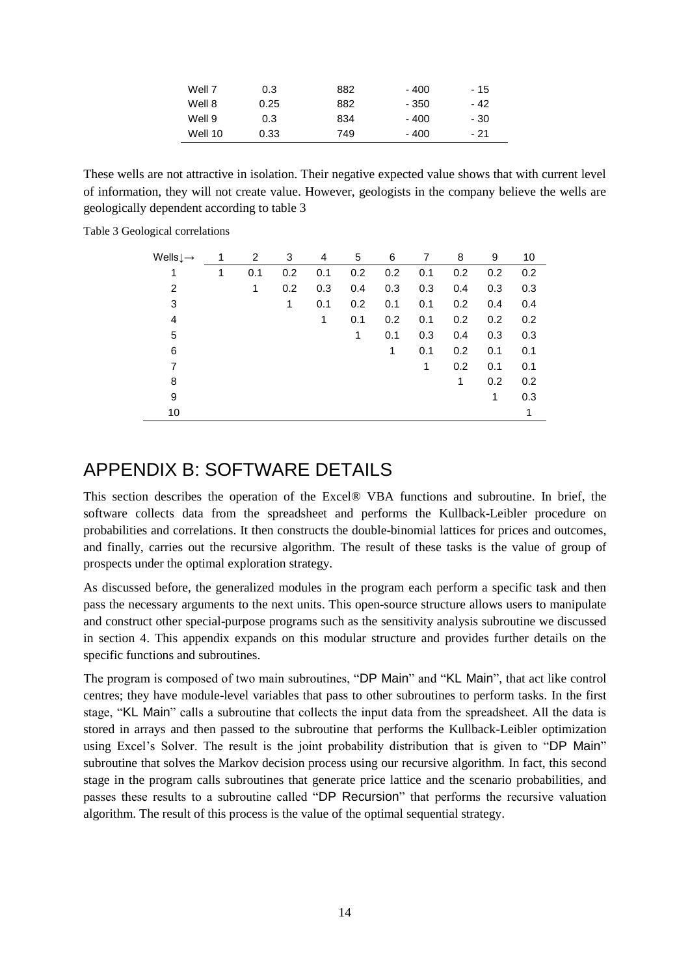| Well 7  | 0.3  | 882 | - 400 | - 15 |
|---------|------|-----|-------|------|
| Well 8  | 0.25 | 882 | - 350 | - 42 |
| Well 9  | 0.3  | 834 | - 400 | - 30 |
| Well 10 | 0.33 | 749 | - 400 | - 21 |

These wells are not attractive in isolation. Their negative expected value shows that with current level of information, they will not create value. However, geologists in the company believe the wells are geologically dependent according to table 3

Table 3 Geological correlations

| Wells $\downarrow \rightarrow$ | 1 | 2   | 3   | 4   | 5   | 6   | 7   | 8   | 9   | 10  |
|--------------------------------|---|-----|-----|-----|-----|-----|-----|-----|-----|-----|
|                                | 1 | 0.1 | 0.2 | 0.1 | 0.2 | 0.2 | 0.1 | 0.2 | 0.2 | 0.2 |
| 2                              |   | 1   | 0.2 | 0.3 | 0.4 | 0.3 | 0.3 | 0.4 | 0.3 | 0.3 |
| 3                              |   |     | 1   | 0.1 | 0.2 | 0.1 | 0.1 | 0.2 | 0.4 | 0.4 |
| 4                              |   |     |     | 1   | 0.1 | 0.2 | 0.1 | 0.2 | 0.2 | 0.2 |
| 5                              |   |     |     |     | 1   | 0.1 | 0.3 | 0.4 | 0.3 | 0.3 |
| 6                              |   |     |     |     |     | 1   | 0.1 | 0.2 | 0.1 | 0.1 |
| 7                              |   |     |     |     |     |     | 1   | 0.2 | 0.1 | 0.1 |
| 8                              |   |     |     |     |     |     |     | 1   | 0.2 | 0.2 |
| 9                              |   |     |     |     |     |     |     |     | 1   | 0.3 |
| 10                             |   |     |     |     |     |     |     |     |     | 1   |

### APPENDIX B: SOFTWARE DETAILS

This section describes the operation of the Excel® VBA functions and subroutine. In brief, the software collects data from the spreadsheet and performs the Kullback-Leibler procedure on probabilities and correlations. It then constructs the double-binomial lattices for prices and outcomes, and finally, carries out the recursive algorithm. The result of these tasks is the value of group of prospects under the optimal exploration strategy.

As discussed before, the generalized modules in the program each perform a specific task and then pass the necessary arguments to the next units. This open-source structure allows users to manipulate and construct other special-purpose programs such as the sensitivity analysis subroutine we discussed in section 4. This appendix expands on this modular structure and provides further details on the specific functions and subroutines.

The program is composed of two main subroutines, "DP Main" and "KL Main", that act like control centres; they have module-level variables that pass to other subroutines to perform tasks. In the first stage, "KL Main" calls a subroutine that collects the input data from the spreadsheet. All the data is stored in arrays and then passed to the subroutine that performs the Kullback-Leibler optimization using Excel's Solver. The result is the joint probability distribution that is given to "DP Main" subroutine that solves the Markov decision process using our recursive algorithm. In fact, this second stage in the program calls subroutines that generate price lattice and the scenario probabilities, and passes these results to a subroutine called "DP Recursion" that performs the recursive valuation algorithm. The result of this process is the value of the optimal sequential strategy.